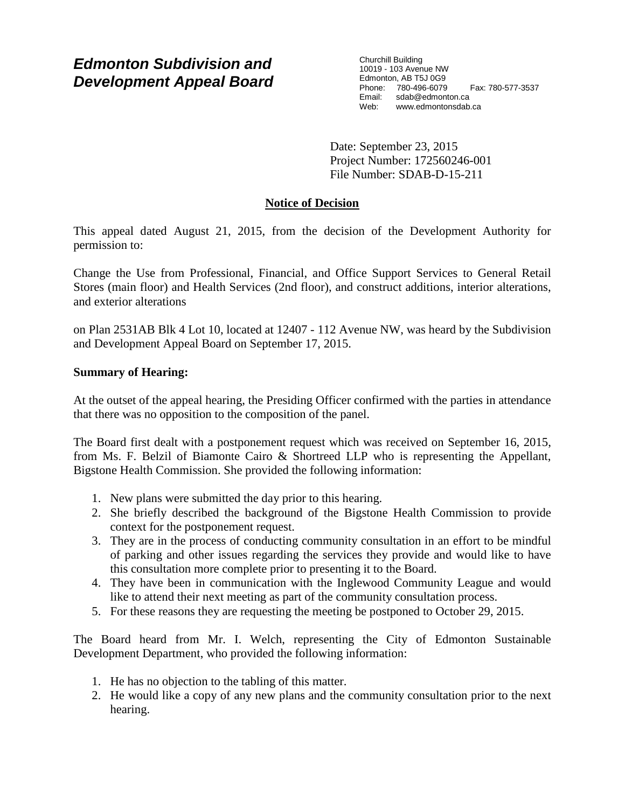# *Edmonton Subdivision and Development Appeal Board*

Churchill Building 10019 - 103 Avenue NW Edmonton, AB T5J 0G9 Phone: 780-496-6079 Fax: 780-577-3537 Email: sdab@edmonton.ca Web: www.edmontonsdab.ca

Date: September 23, 2015 Project Number: 172560246-001 File Number: SDAB-D-15-211

## **Notice of Decision**

This appeal dated August 21, 2015, from the decision of the Development Authority for permission to:

Change the Use from Professional, Financial, and Office Support Services to General Retail Stores (main floor) and Health Services (2nd floor), and construct additions, interior alterations, and exterior alterations

on Plan 2531AB Blk 4 Lot 10, located at 12407 - 112 Avenue NW, was heard by the Subdivision and Development Appeal Board on September 17, 2015.

## **Summary of Hearing:**

At the outset of the appeal hearing, the Presiding Officer confirmed with the parties in attendance that there was no opposition to the composition of the panel.

The Board first dealt with a postponement request which was received on September 16, 2015, from Ms. F. Belzil of Biamonte Cairo & Shortreed LLP who is representing the Appellant, Bigstone Health Commission. She provided the following information:

- 1. New plans were submitted the day prior to this hearing.
- 2. She briefly described the background of the Bigstone Health Commission to provide context for the postponement request.
- 3. They are in the process of conducting community consultation in an effort to be mindful of parking and other issues regarding the services they provide and would like to have this consultation more complete prior to presenting it to the Board.
- 4. They have been in communication with the Inglewood Community League and would like to attend their next meeting as part of the community consultation process.
- 5. For these reasons they are requesting the meeting be postponed to October 29, 2015.

The Board heard from Mr. I. Welch, representing the City of Edmonton Sustainable Development Department, who provided the following information:

- 1. He has no objection to the tabling of this matter.
- 2. He would like a copy of any new plans and the community consultation prior to the next hearing.